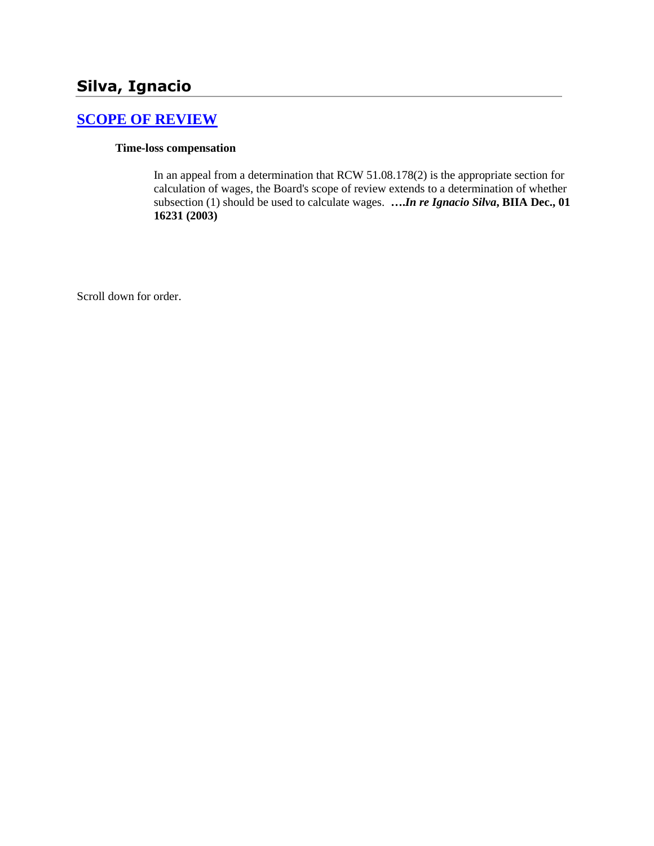# **Silva, Ignacio**

# **[SCOPE OF REVIEW](http://www.biia.wa.gov/SDSubjectIndex.html#SCOPE_OF_REVIEW)**

#### **Time-loss compensation**

In an appeal from a determination that RCW 51.08.178(2) is the appropriate section for calculation of wages, the Board's scope of review extends to a determination of whether subsection (1) should be used to calculate wages. **….***In re Ignacio Silva***, BIIA Dec., 01 16231 (2003)**

Scroll down for order.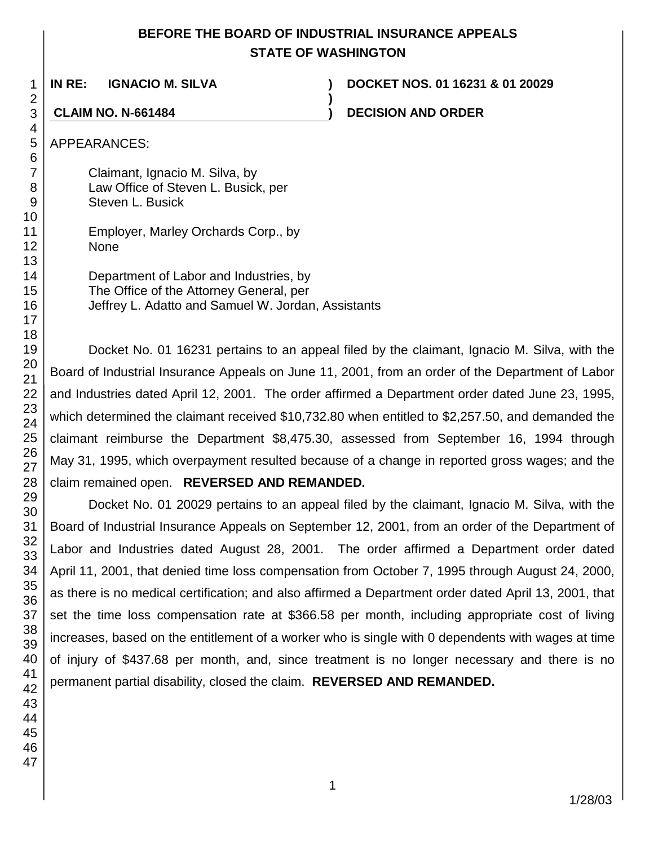# **BEFORE THE BOARD OF INDUSTRIAL INSURANCE APPEALS STATE OF WASHINGTON**

**)**

**IN RE: IGNACIO M. SILVA ) DOCKET NOS. 01 16231 & 01 20029**

**CLAIM NO. N-661484 ) DECISION AND ORDER**

APPEARANCES:

Claimant, Ignacio M. Silva, by Law Office of Steven L. Busick, per Steven L. Busick

|             | Employer, Marley Orchards Corp., by |  |
|-------------|-------------------------------------|--|
| <b>None</b> |                                     |  |

Department of Labor and Industries, by The Office of the Attorney General, per Jeffrey L. Adatto and Samuel W. Jordan, Assistants

Docket No. 01 16231 pertains to an appeal filed by the claimant, Ignacio M. Silva, with the Board of Industrial Insurance Appeals on June 11, 2001, from an order of the Department of Labor and Industries dated April 12, 2001. The order affirmed a Department order dated June 23, 1995, which determined the claimant received \$10,732.80 when entitled to \$2,257.50, and demanded the claimant reimburse the Department \$8,475.30, assessed from September 16, 1994 through May 31, 1995, which overpayment resulted because of a change in reported gross wages; and the claim remained open. **REVERSED AND REMANDED.**

Docket No. 01 20029 pertains to an appeal filed by the claimant, Ignacio M. Silva, with the Board of Industrial Insurance Appeals on September 12, 2001, from an order of the Department of Labor and Industries dated August 28, 2001. The order affirmed a Department order dated April 11, 2001, that denied time loss compensation from October 7, 1995 through August 24, 2000, as there is no medical certification; and also affirmed a Department order dated April 13, 2001, that set the time loss compensation rate at \$366.58 per month, including appropriate cost of living increases, based on the entitlement of a worker who is single with 0 dependents with wages at time of injury of \$437.68 per month, and, since treatment is no longer necessary and there is no permanent partial disability, closed the claim. **REVERSED AND REMANDED.**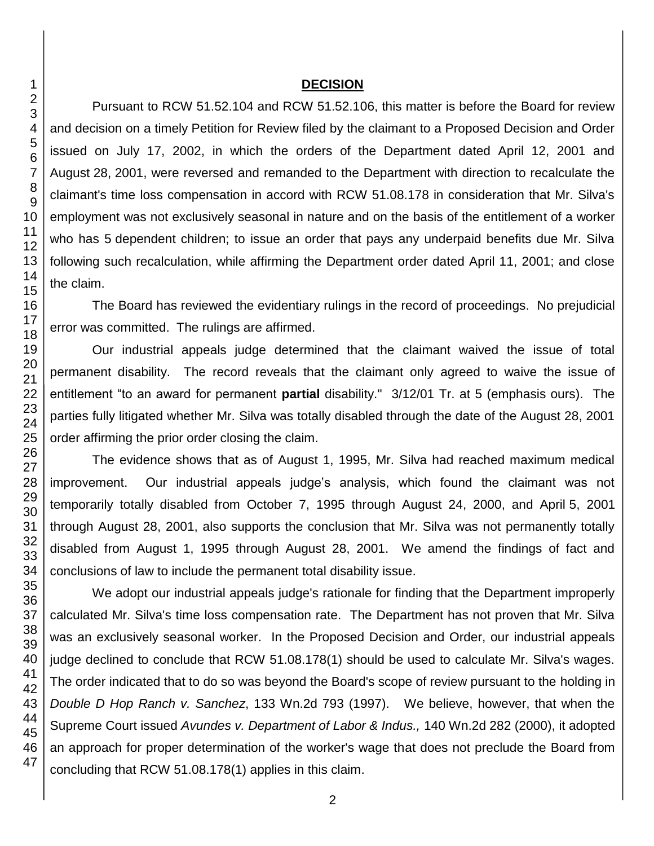#### **DECISION**

Pursuant to RCW 51.52.104 and RCW 51.52.106, this matter is before the Board for review and decision on a timely Petition for Review filed by the claimant to a Proposed Decision and Order issued on July 17, 2002, in which the orders of the Department dated April 12, 2001 and August 28, 2001, were reversed and remanded to the Department with direction to recalculate the claimant's time loss compensation in accord with RCW 51.08.178 in consideration that Mr. Silva's employment was not exclusively seasonal in nature and on the basis of the entitlement of a worker who has 5 dependent children; to issue an order that pays any underpaid benefits due Mr. Silva following such recalculation, while affirming the Department order dated April 11, 2001; and close the claim.

The Board has reviewed the evidentiary rulings in the record of proceedings. No prejudicial error was committed. The rulings are affirmed.

Our industrial appeals judge determined that the claimant waived the issue of total permanent disability. The record reveals that the claimant only agreed to waive the issue of entitlement "to an award for permanent **partial** disability." 3/12/01 Tr. at 5 (emphasis ours). The parties fully litigated whether Mr. Silva was totally disabled through the date of the August 28, 2001 order affirming the prior order closing the claim.

The evidence shows that as of August 1, 1995, Mr. Silva had reached maximum medical improvement. Our industrial appeals judge's analysis, which found the claimant was not temporarily totally disabled from October 7, 1995 through August 24, 2000, and April 5, 2001 through August 28, 2001, also supports the conclusion that Mr. Silva was not permanently totally disabled from August 1, 1995 through August 28, 2001. We amend the findings of fact and conclusions of law to include the permanent total disability issue.

We adopt our industrial appeals judge's rationale for finding that the Department improperly calculated Mr. Silva's time loss compensation rate. The Department has not proven that Mr. Silva was an exclusively seasonal worker. In the Proposed Decision and Order, our industrial appeals judge declined to conclude that RCW 51.08.178(1) should be used to calculate Mr. Silva's wages. The order indicated that to do so was beyond the Board's scope of review pursuant to the holding in *Double D Hop Ranch v. Sanchez*, 133 Wn.2d 793 (1997). We believe, however, that when the Supreme Court issued *Avundes v. Department of Labor & Indus.,* 140 Wn.2d 282 (2000), it adopted an approach for proper determination of the worker's wage that does not preclude the Board from concluding that RCW 51.08.178(1) applies in this claim.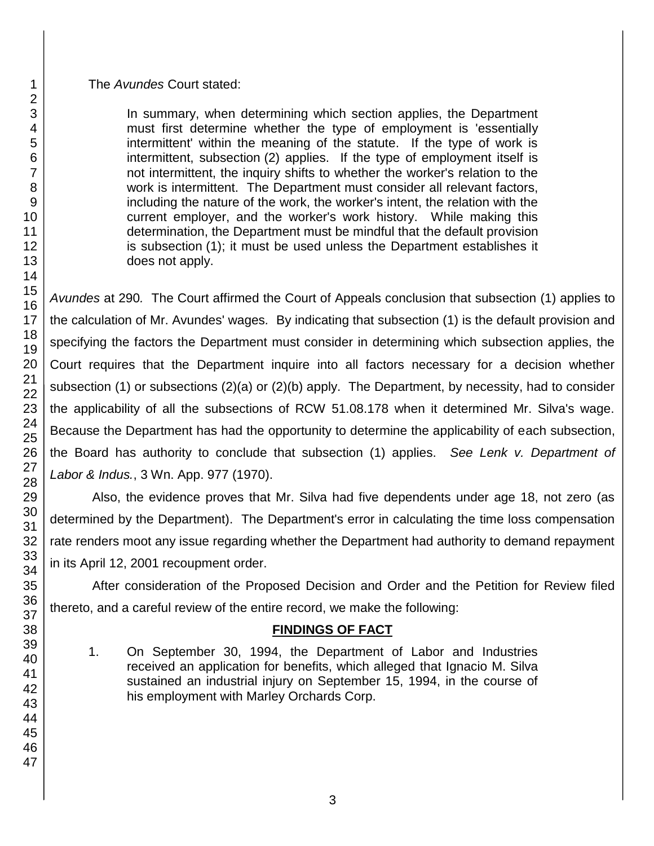The *Avundes* Court stated:

In summary, when determining which section applies, the Department must first determine whether the type of employment is 'essentially intermittent' within the meaning of the statute. If the type of work is intermittent, subsection (2) applies. If the type of employment itself is not intermittent, the inquiry shifts to whether the worker's relation to the work is intermittent. The Department must consider all relevant factors, including the nature of the work, the worker's intent, the relation with the current employer, and the worker's work history. While making this determination, the Department must be mindful that the default provision is subsection (1); it must be used unless the Department establishes it does not apply.

*Avundes* at 290*.* The Court affirmed the Court of Appeals conclusion that subsection (1) applies to the calculation of Mr. Avundes' wages*.* By indicating that subsection (1) is the default provision and specifying the factors the Department must consider in determining which subsection applies, the Court requires that the Department inquire into all factors necessary for a decision whether subsection (1) or subsections (2)(a) or (2)(b) apply. The Department, by necessity, had to consider the applicability of all the subsections of RCW 51.08.178 when it determined Mr. Silva's wage. Because the Department has had the opportunity to determine the applicability of each subsection, the Board has authority to conclude that subsection (1) applies. *See Lenk v. Department of Labor & Indus.*, 3 Wn. App. 977 (1970).

Also, the evidence proves that Mr. Silva had five dependents under age 18, not zero (as determined by the Department). The Department's error in calculating the time loss compensation rate renders moot any issue regarding whether the Department had authority to demand repayment in its April 12, 2001 recoupment order.

After consideration of the Proposed Decision and Order and the Petition for Review filed thereto, and a careful review of the entire record, we make the following:

# **FINDINGS OF FACT**

1. On September 30, 1994, the Department of Labor and Industries received an application for benefits, which alleged that Ignacio M. Silva sustained an industrial injury on September 15, 1994, in the course of his employment with Marley Orchards Corp.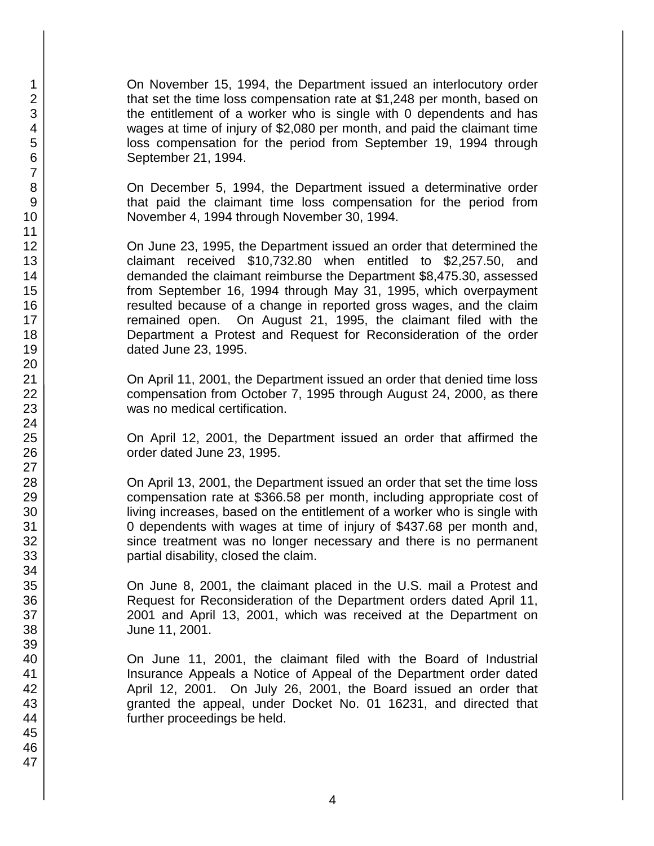On November 15, 1994, the Department issued an interlocutory order that set the time loss compensation rate at \$1,248 per month, based on the entitlement of a worker who is single with 0 dependents and has wages at time of injury of \$2,080 per month, and paid the claimant time loss compensation for the period from September 19, 1994 through September 21, 1994.

On December 5, 1994, the Department issued a determinative order that paid the claimant time loss compensation for the period from November 4, 1994 through November 30, 1994.

On June 23, 1995, the Department issued an order that determined the claimant received \$10,732.80 when entitled to \$2,257.50, and demanded the claimant reimburse the Department \$8,475.30, assessed from September 16, 1994 through May 31, 1995, which overpayment resulted because of a change in reported gross wages, and the claim remained open. On August 21, 1995, the claimant filed with the Department a Protest and Request for Reconsideration of the order dated June 23, 1995.

On April 11, 2001, the Department issued an order that denied time loss compensation from October 7, 1995 through August 24, 2000, as there was no medical certification.

On April 12, 2001, the Department issued an order that affirmed the order dated June 23, 1995.

On April 13, 2001, the Department issued an order that set the time loss compensation rate at \$366.58 per month, including appropriate cost of living increases, based on the entitlement of a worker who is single with 0 dependents with wages at time of injury of \$437.68 per month and, since treatment was no longer necessary and there is no permanent partial disability, closed the claim.

On June 8, 2001, the claimant placed in the U.S. mail a Protest and Request for Reconsideration of the Department orders dated April 11, 2001 and April 13, 2001, which was received at the Department on June 11, 2001.

On June 11, 2001, the claimant filed with the Board of Industrial Insurance Appeals a Notice of Appeal of the Department order dated April 12, 2001. On July 26, 2001, the Board issued an order that granted the appeal, under Docket No. 01 16231, and directed that further proceedings be held.

1 2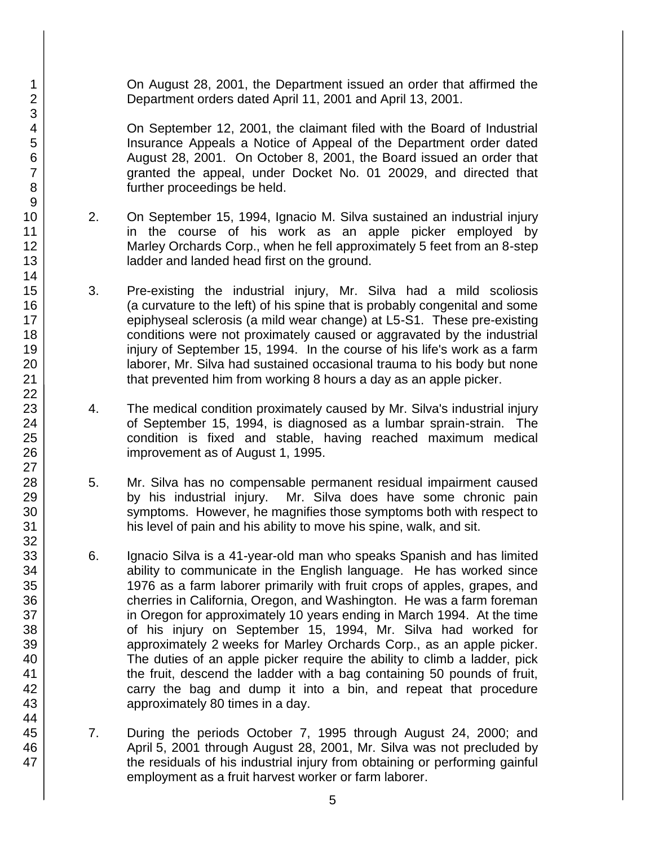On August 28, 2001, the Department issued an order that affirmed the Department orders dated April 11, 2001 and April 13, 2001.

On September 12, 2001, the claimant filed with the Board of Industrial Insurance Appeals a Notice of Appeal of the Department order dated August 28, 2001. On October 8, 2001, the Board issued an order that granted the appeal, under Docket No. 01 20029, and directed that further proceedings be held.

- 2. On September 15, 1994, Ignacio M. Silva sustained an industrial injury in the course of his work as an apple picker employed by Marley Orchards Corp., when he fell approximately 5 feet from an 8-step ladder and landed head first on the ground.
- 3. Pre-existing the industrial injury, Mr. Silva had a mild scoliosis (a curvature to the left) of his spine that is probably congenital and some epiphyseal sclerosis (a mild wear change) at L5-S1. These pre-existing conditions were not proximately caused or aggravated by the industrial injury of September 15, 1994. In the course of his life's work as a farm laborer, Mr. Silva had sustained occasional trauma to his body but none that prevented him from working 8 hours a day as an apple picker.
- 4. The medical condition proximately caused by Mr. Silva's industrial injury of September 15, 1994, is diagnosed as a lumbar sprain-strain. The condition is fixed and stable, having reached maximum medical improvement as of August 1, 1995.
- 5. Mr. Silva has no compensable permanent residual impairment caused by his industrial injury. Mr. Silva does have some chronic pain symptoms. However, he magnifies those symptoms both with respect to his level of pain and his ability to move his spine, walk, and sit.
- 6. Ignacio Silva is a 41-year-old man who speaks Spanish and has limited ability to communicate in the English language. He has worked since 1976 as a farm laborer primarily with fruit crops of apples, grapes, and cherries in California, Oregon, and Washington. He was a farm foreman in Oregon for approximately 10 years ending in March 1994. At the time of his injury on September 15, 1994, Mr. Silva had worked for approximately 2 weeks for Marley Orchards Corp., as an apple picker. The duties of an apple picker require the ability to climb a ladder, pick the fruit, descend the ladder with a bag containing 50 pounds of fruit, carry the bag and dump it into a bin, and repeat that procedure approximately 80 times in a day.
- 7. During the periods October 7, 1995 through August 24, 2000; and April 5, 2001 through August 28, 2001, Mr. Silva was not precluded by the residuals of his industrial injury from obtaining or performing gainful employment as a fruit harvest worker or farm laborer.

47

1 2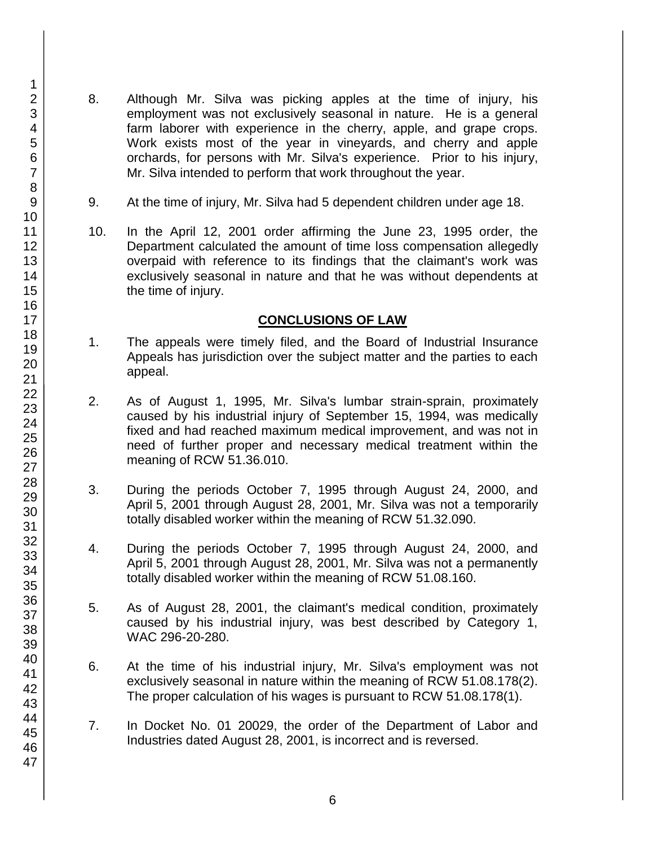- 8. Although Mr. Silva was picking apples at the time of injury, his employment was not exclusively seasonal in nature. He is a general farm laborer with experience in the cherry, apple, and grape crops. Work exists most of the year in vineyards, and cherry and apple orchards, for persons with Mr. Silva's experience. Prior to his injury, Mr. Silva intended to perform that work throughout the year.
- 9. At the time of injury, Mr. Silva had 5 dependent children under age 18.
- 10. In the April 12, 2001 order affirming the June 23, 1995 order, the Department calculated the amount of time loss compensation allegedly overpaid with reference to its findings that the claimant's work was exclusively seasonal in nature and that he was without dependents at the time of injury.

## **CONCLUSIONS OF LAW**

- 1. The appeals were timely filed, and the Board of Industrial Insurance Appeals has jurisdiction over the subject matter and the parties to each appeal.
- 2. As of August 1, 1995, Mr. Silva's lumbar strain-sprain, proximately caused by his industrial injury of September 15, 1994, was medically fixed and had reached maximum medical improvement, and was not in need of further proper and necessary medical treatment within the meaning of RCW 51.36.010.
- 3. During the periods October 7, 1995 through August 24, 2000, and April 5, 2001 through August 28, 2001, Mr. Silva was not a temporarily totally disabled worker within the meaning of RCW 51.32.090.
- 4. During the periods October 7, 1995 through August 24, 2000, and April 5, 2001 through August 28, 2001, Mr. Silva was not a permanently totally disabled worker within the meaning of RCW 51.08.160.
- 5. As of August 28, 2001, the claimant's medical condition, proximately caused by his industrial injury, was best described by Category 1, WAC 296-20-280.
- 6. At the time of his industrial injury, Mr. Silva's employment was not exclusively seasonal in nature within the meaning of RCW 51.08.178(2). The proper calculation of his wages is pursuant to RCW 51.08.178(1).
- 7. In Docket No. 01 20029, the order of the Department of Labor and Industries dated August 28, 2001, is incorrect and is reversed.